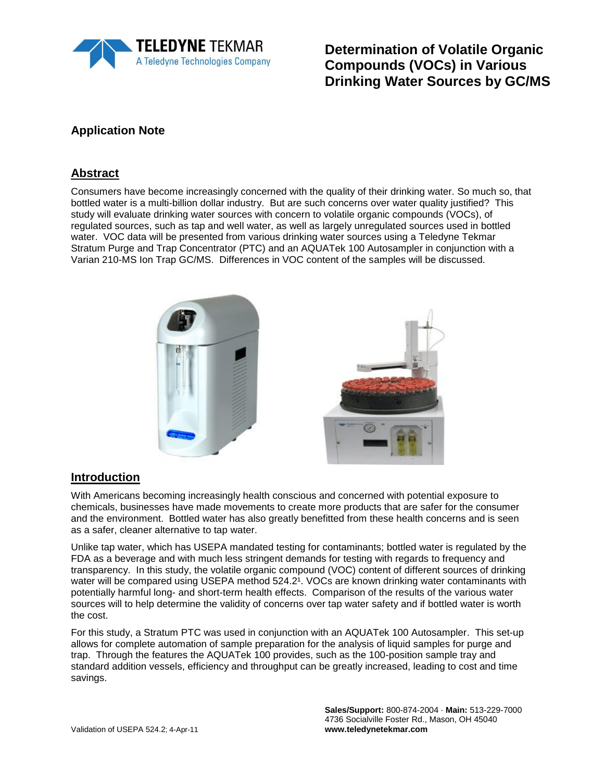

**Determination of Volatile Organic Compounds (VOCs) in Various Drinking Water Sources by GC/MS**

# **Application Note**

#### **Abstract**

Consumers have become increasingly concerned with the quality of their drinking water. So much so, that bottled water is a multi-billion dollar industry. But are such concerns over water quality justified? This study will evaluate drinking water sources with concern to volatile organic compounds (VOCs), of regulated sources, such as tap and well water, as well as largely unregulated sources used in bottled water. VOC data will be presented from various drinking water sources using a Teledyne Tekmar Stratum Purge and Trap Concentrator (PTC) and an AQUATek 100 Autosampler in conjunction with a Varian 210-MS Ion Trap GC/MS. Differences in VOC content of the samples will be discussed.



#### **Introduction**

With Americans becoming increasingly health conscious and concerned with potential exposure to chemicals, businesses have made movements to create more products that are safer for the consumer and the environment. Bottled water has also greatly benefitted from these health concerns and is seen as a safer, cleaner alternative to tap water.

Unlike tap water, which has USEPA mandated testing for contaminants; bottled water is regulated by the FDA as a beverage and with much less stringent demands for testing with regards to frequency and transparency. In this study, the volatile organic compound (VOC) content of different sources of drinking water will be compared using USEPA method 524.2<sup>1</sup>. VOCs are known drinking water contaminants with potentially harmful long- and short-term health effects. Comparison of the results of the various water sources will to help determine the validity of concerns over tap water safety and if bottled water is worth the cost.

For this study, a Stratum PTC was used in conjunction with an AQUATek 100 Autosampler. This set-up allows for complete automation of sample preparation for the analysis of liquid samples for purge and trap. Through the features the AQUATek 100 provides, such as the 100-position sample tray and standard addition vessels, efficiency and throughput can be greatly increased, leading to cost and time savings.

> **Sales/Support:** 800-874-2004 · **Main:** 513-229-7000 4736 Socialville Foster Rd., Mason, OH 45040 **www.teledynetekmar.com**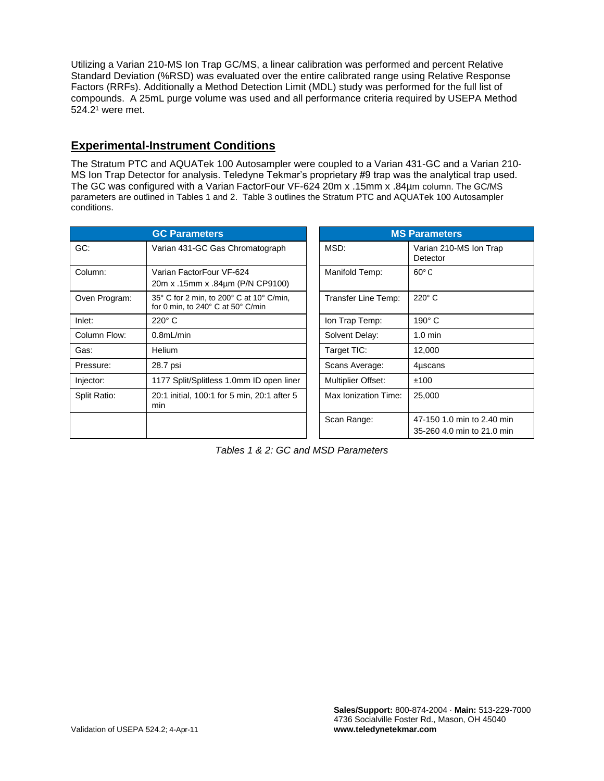Utilizing a Varian 210-MS Ion Trap GC/MS, a linear calibration was performed and percent Relative Standard Deviation (%RSD) was evaluated over the entire calibrated range using Relative Response Factors (RRFs). Additionally a Method Detection Limit (MDL) study was performed for the full list of compounds. A 25mL purge volume was used and all performance criteria required by USEPA Method 524.2<sup>1</sup> were met.

## **Experimental-Instrument Conditions**

The Stratum PTC and AQUATek 100 Autosampler were coupled to a Varian 431-GC and a Varian 210- MS Ion Trap Detector for analysis. Teledyne Tekmar's proprietary #9 trap was the analytical trap used. The GC was configured with a Varian FactorFour VF-624 20m x .15mm x .84µm column. The GC/MS parameters are outlined in Tables 1 and 2. Table 3 outlines the Stratum PTC and AQUATek 100 Autosampler conditions.

| <b>GC Parameters</b> |                                                                               |  | <b>MS Parameters</b>      |                                                      |  |
|----------------------|-------------------------------------------------------------------------------|--|---------------------------|------------------------------------------------------|--|
| GC:                  | Varian 431-GC Gas Chromatograph                                               |  | MSD:                      | Varian 210-MS Ion Trap<br>Detector                   |  |
| Column:              | Varian FactorFour VF-624<br>20m x .15mm x .84µm (P/N CP9100)                  |  | Manifold Temp:            | $60^{\circ}$ C                                       |  |
| Oven Program:        | 35° C for 2 min, to 200° C at 10° C/min,<br>for 0 min, to 240° C at 50° C/min |  | Transfer Line Temp:       | $220^\circ$ C                                        |  |
| Inlet:               | $220^\circ$ C                                                                 |  | Ion Trap Temp:            | $190^\circ$ C                                        |  |
| Column Flow:         | $0.8$ mL/min                                                                  |  | Solvent Delay:            | $1.0 \text{ min}$                                    |  |
| Gas:                 | Helium                                                                        |  | Target TIC:               | 12,000                                               |  |
| Pressure:            | 28.7 psi                                                                      |  | Scans Average:            | 4uscans                                              |  |
| Injector:            | 1177 Split/Splitless 1.0mm ID open liner                                      |  | <b>Multiplier Offset:</b> | ±100                                                 |  |
| Split Ratio:         | 20:1 initial, 100:1 for 5 min, 20:1 after 5<br>min                            |  | Max Ionization Time:      | 25,000                                               |  |
|                      |                                                                               |  | Scan Range:               | 47-150 1.0 min to 2.40 m<br>35-260 4.0 min to 21.0 m |  |

| <b>MS Parameters</b>      |                                                          |  |  |  |  |
|---------------------------|----------------------------------------------------------|--|--|--|--|
| MSD:                      | Varian 210-MS Ion Trap<br>Detector                       |  |  |  |  |
| Manifold Temp:            | $60^\circ$ C                                             |  |  |  |  |
| Transfer Line Temp:       | $220^\circ$ C                                            |  |  |  |  |
| Ion Trap Temp:            | $190^\circ$ C                                            |  |  |  |  |
| Solvent Delay:            | $1.0 \text{ min}$                                        |  |  |  |  |
| Target TIC:               | 12,000                                                   |  |  |  |  |
| Scans Average:            | 4uscans                                                  |  |  |  |  |
| <b>Multiplier Offset:</b> | ±100                                                     |  |  |  |  |
| Max Ionization Time:      | 25,000                                                   |  |  |  |  |
| Scan Range:               | 47-150 1.0 min to 2.40 min<br>35-260 4.0 min to 21.0 min |  |  |  |  |

*Tables 1 & 2: GC and MSD Parameters*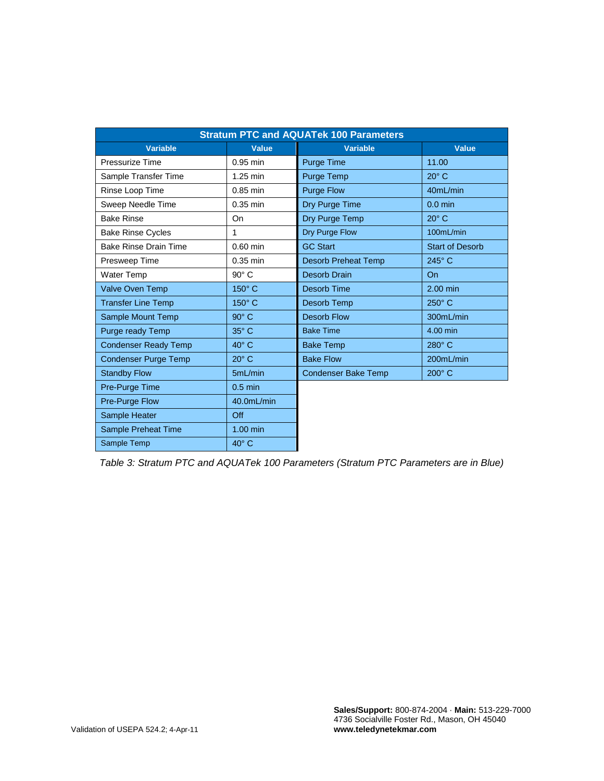| <b>Stratum PTC and AQUATek 100 Parameters</b> |                |                            |                        |  |  |  |
|-----------------------------------------------|----------------|----------------------------|------------------------|--|--|--|
| <b>Variable</b>                               | <b>Value</b>   | <b>Variable</b>            | <b>Value</b>           |  |  |  |
| Pressurize Time                               | $0.95$ min     | <b>Purge Time</b>          | 11.00                  |  |  |  |
| Sample Transfer Time                          | 1.25 min       | <b>Purge Temp</b>          | $20^\circ$ C           |  |  |  |
| Rinse Loop Time                               | $0.85$ min     | <b>Purge Flow</b>          | 40mL/min               |  |  |  |
| Sweep Needle Time                             | $0.35$ min     | Dry Purge Time             | $0.0$ min              |  |  |  |
| <b>Bake Rinse</b>                             | On             | Dry Purge Temp             | $20^\circ$ C           |  |  |  |
| <b>Bake Rinse Cycles</b>                      | 1              | Dry Purge Flow             | 100mL/min              |  |  |  |
| <b>Bake Rinse Drain Time</b>                  | $0.60$ min     | <b>GC Start</b>            | <b>Start of Desorb</b> |  |  |  |
| Presweep Time                                 | $0.35$ min     | <b>Desorb Preheat Temp</b> | 245°C                  |  |  |  |
| Water Temp                                    | $90^\circ$ C   | <b>Desorb Drain</b>        | <b>On</b>              |  |  |  |
| <b>Valve Oven Temp</b>                        | 150° C         | Desorb Time                | $2.00$ min             |  |  |  |
| <b>Transfer Line Temp</b>                     | 150° C         | Desorb Temp                | 250° C                 |  |  |  |
| Sample Mount Temp                             | $90^\circ$ C   | <b>Desorb Flow</b>         | 300mL/min              |  |  |  |
| Purge ready Temp                              | 35° C          | <b>Bake Time</b>           | 4.00 min               |  |  |  |
| <b>Condenser Ready Temp</b>                   | $40^{\circ}$ C | <b>Bake Temp</b>           | 280° C                 |  |  |  |
| <b>Condenser Purge Temp</b>                   | $20^\circ$ C   | <b>Bake Flow</b>           | 200mL/min              |  |  |  |
| <b>Standby Flow</b>                           | 5mL/min        | <b>Condenser Bake Temp</b> | $200^\circ$ C          |  |  |  |
| Pre-Purge Time                                | $0.5$ min      |                            |                        |  |  |  |
| Pre-Purge Flow                                | 40.0mL/min     |                            |                        |  |  |  |
| Sample Heater                                 | Off            |                            |                        |  |  |  |
| Sample Preheat Time                           | $1.00$ min     |                            |                        |  |  |  |
| Sample Temp                                   | $40^\circ$ C   |                            |                        |  |  |  |

*Table 3: Stratum PTC and AQUATek 100 Parameters (Stratum PTC Parameters are in Blue)*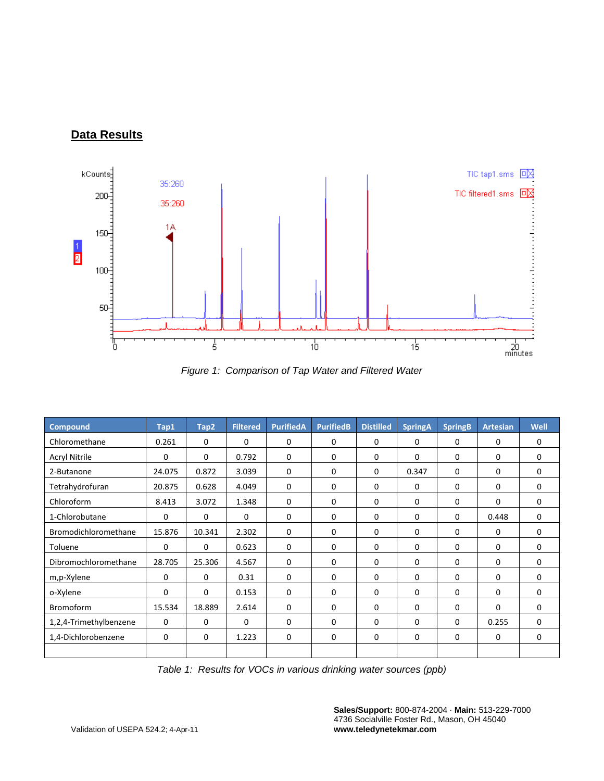# **Data Results**



*Figure 1: Comparison of Tap Water and Filtered Water*

| <b>Compound</b>        | Tap1        | Tap2        | <b>Filtered</b> | <b>PurifiedA</b> | <b>PurifiedB</b> | <b>Distilled</b> | <b>SpringA</b> | <b>SpringB</b> | <b>Artesian</b> | Well        |
|------------------------|-------------|-------------|-----------------|------------------|------------------|------------------|----------------|----------------|-----------------|-------------|
| Chloromethane          | 0.261       | $\Omega$    | $\Omega$        | $\mathbf 0$      | 0                | $\mathbf 0$      | 0              | $\Omega$       | $\Omega$        | $\Omega$    |
| <b>Acryl Nitrile</b>   | $\Omega$    | $\mathbf 0$ | 0.792           | $\mathbf 0$      | 0                | $\mathbf 0$      | 0              | 0              | 0               | $\Omega$    |
| 2-Butanone             | 24.075      | 0.872       | 3.039           | 0                | 0                | 0                | 0.347          | 0              | 0               | $\mathbf 0$ |
| Tetrahydrofuran        | 20.875      | 0.628       | 4.049           | $\mathbf 0$      | 0                | $\mathbf 0$      | 0              | $\mathbf{0}$   | 0               | $\Omega$    |
| Chloroform             | 8.413       | 3.072       | 1.348           | $\mathbf 0$      | 0                | 0                | 0              | $\Omega$       | $\Omega$        | $\Omega$    |
| 1-Chlorobutane         | $\mathbf 0$ | 0           | $\mathbf 0$     | $\mathbf 0$      | 0                | $\mathbf 0$      | 0              | 0              | 0.448           | $\mathbf 0$ |
| Bromodichloromethane   | 15.876      | 10.341      | 2.302           | $\mathbf 0$      | 0                | $\Omega$         | $\Omega$       | 0              | $\Omega$        | $\Omega$    |
| Toluene                | $\Omega$    | $\Omega$    | 0.623           | $\mathbf 0$      | 0                | $\mathbf 0$      | 0              | $\mathbf{0}$   | 0               | $\mathbf 0$ |
| Dibromochloromethane   | 28.705      | 25.306      | 4.567           | 0                | 0                | $\mathbf 0$      | 0              | 0              | 0               | $\mathbf 0$ |
| m,p-Xylene             | $\Omega$    | $\Omega$    | 0.31            | $\Omega$         | 0                | $\Omega$         | $\Omega$       | 0              | $\Omega$        | $\Omega$    |
| o-Xylene               | $\Omega$    | $\Omega$    | 0.153           | $\mathbf 0$      | 0                | $\Omega$         | 0              | 0              | $\Omega$        | $\mathbf 0$ |
| Bromoform              | 15.534      | 18.889      | 2.614           | $\mathbf 0$      | 0                | $\mathbf 0$      | 0              | $\mathbf{0}$   | $\mathbf 0$     | $\mathbf 0$ |
| 1,2,4-Trimethylbenzene | $\Omega$    | $\Omega$    | $\Omega$        | $\Omega$         | 0                | $\Omega$         | $\Omega$       | 0              | 0.255           | $\Omega$    |
| 1,4-Dichlorobenzene    | $\mathbf 0$ | 0           | 1.223           | 0                | 0                | $\mathbf 0$      | 0              | $\mathbf 0$    | $\mathbf 0$     | $\mathbf 0$ |
|                        |             |             |                 |                  |                  |                  |                |                |                 |             |

*Table 1: Results for VOCs in various drinking water sources (ppb)*

**Sales/Support:** 800-874-2004 · **Main:** 513-229-7000 4736 Socialville Foster Rd., Mason, OH 45040 **www.teledynetekmar.com**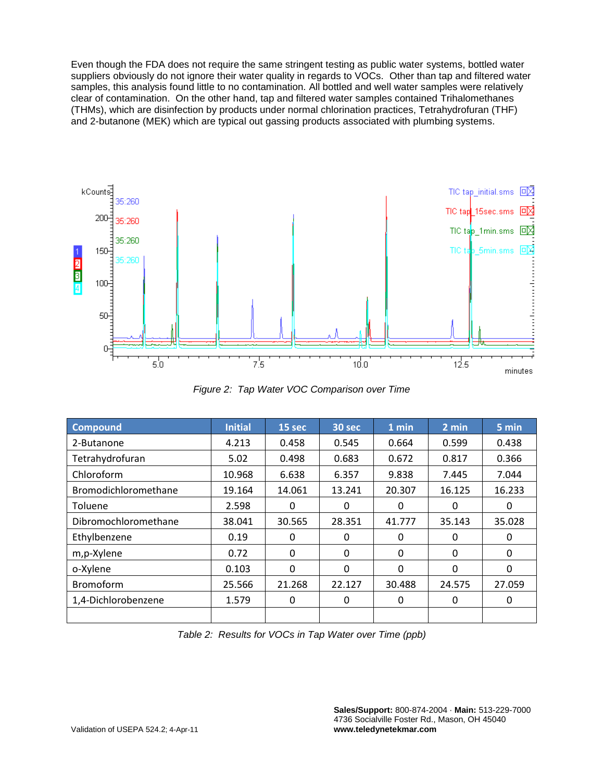Even though the FDA does not require the same stringent testing as public water systems, bottled water suppliers obviously do not ignore their water quality in regards to VOCs. Other than tap and filtered water samples, this analysis found little to no contamination. All bottled and well water samples were relatively clear of contamination. On the other hand, tap and filtered water samples contained Trihalomethanes (THMs), which are disinfection by products under normal chlorination practices, Tetrahydrofuran (THF) and 2-butanone (MEK) which are typical out gassing products associated with plumbing systems.



*Figure 2: Tap Water VOC Comparison over Time*

| Compound             | <b>Initial</b> | 15 sec   | 30 sec       | 1 min    | 2 min    | 5 min  |
|----------------------|----------------|----------|--------------|----------|----------|--------|
| 2-Butanone           | 4.213          | 0.458    | 0.545        | 0.664    | 0.599    | 0.438  |
| Tetrahydrofuran      | 5.02           | 0.498    | 0.683        | 0.672    | 0.817    | 0.366  |
| Chloroform           | 10.968         | 6.638    | 6.357        | 9.838    | 7.445    | 7.044  |
| Bromodichloromethane | 19.164         | 14.061   | 13.241       | 20.307   | 16.125   | 16.233 |
| Toluene              | 2.598          | 0        | 0            | $\Omega$ | $\Omega$ | 0      |
| Dibromochloromethane | 38.041         | 30.565   | 28.351       | 41.777   | 35.143   | 35.028 |
| Ethylbenzene         | 0.19           | $\Omega$ | $\Omega$     | 0        | 0        | 0      |
| m,p-Xylene           | 0.72           | 0        | 0            | 0        | 0        | 0      |
| o-Xylene             | 0.103          | $\Omega$ | $\mathbf{0}$ | $\Omega$ | $\Omega$ | 0      |
| Bromoform            | 25.566         | 21.268   | 22.127       | 30.488   | 24.575   | 27.059 |
| 1,4-Dichlorobenzene  | 1.579          | 0        | 0            | 0        | 0        | 0      |
|                      |                |          |              |          |          |        |

*Table 2: Results for VOCs in Tap Water over Time (ppb)*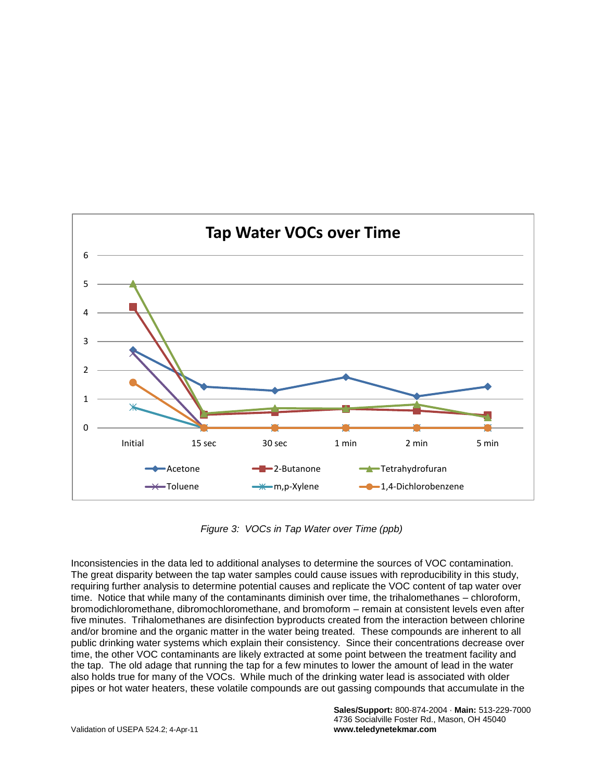

*Figure 3: VOCs in Tap Water over Time (ppb)*

Inconsistencies in the data led to additional analyses to determine the sources of VOC contamination. The great disparity between the tap water samples could cause issues with reproducibility in this study, requiring further analysis to determine potential causes and replicate the VOC content of tap water over time. Notice that while many of the contaminants diminish over time, the trihalomethanes – chloroform, bromodichloromethane, dibromochloromethane, and bromoform – remain at consistent levels even after five minutes. Trihalomethanes are disinfection byproducts created from the interaction between chlorine and/or bromine and the organic matter in the water being treated. These compounds are inherent to all public drinking water systems which explain their consistency. Since their concentrations decrease over time, the other VOC contaminants are likely extracted at some point between the treatment facility and the tap. The old adage that running the tap for a few minutes to lower the amount of lead in the water also holds true for many of the VOCs. While much of the drinking water lead is associated with older pipes or hot water heaters, these volatile compounds are out gassing compounds that accumulate in the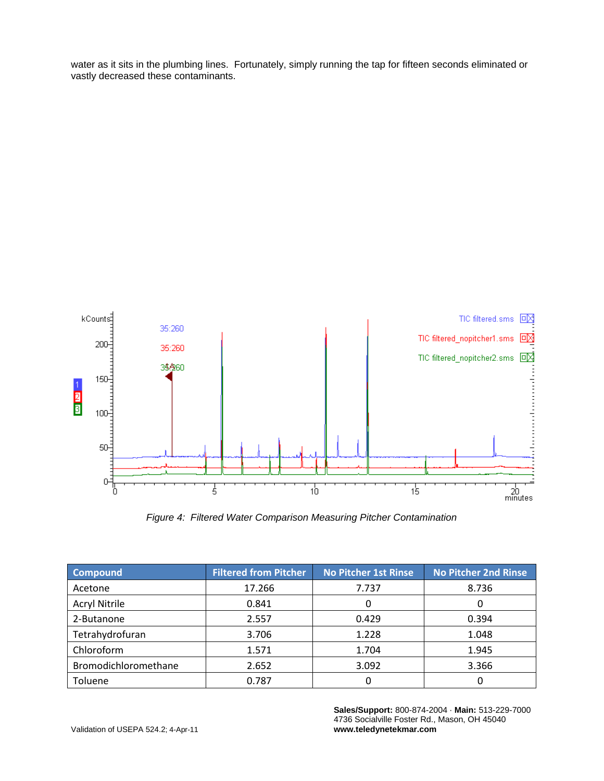water as it sits in the plumbing lines. Fortunately, simply running the tap for fifteen seconds eliminated or vastly decreased these contaminants.



*Figure 4: Filtered Water Comparison Measuring Pitcher Contamination*

| <b>Compound</b>      | <b>Filtered from Pitcher</b> | <b>No Pitcher 1st Rinse</b> | <b>No Pitcher 2nd Rinse</b> |  |
|----------------------|------------------------------|-----------------------------|-----------------------------|--|
| Acetone              | 17.266                       | 7.737                       | 8.736                       |  |
| <b>Acryl Nitrile</b> | 0.841                        | O                           | 0                           |  |
| 2-Butanone           | 2.557                        | 0.429                       | 0.394                       |  |
| Tetrahydrofuran      | 3.706                        | 1.228                       | 1.048                       |  |
| Chloroform           | 1.571                        | 1.704                       | 1.945                       |  |
| Bromodichloromethane | 2.652                        | 3.092                       | 3.366                       |  |
| Toluene              | 0.787                        | 0                           | 0                           |  |

**Sales/Support:** 800-874-2004 · **Main:** 513-229-7000 4736 Socialville Foster Rd., Mason, OH 45040 **www.teledynetekmar.com**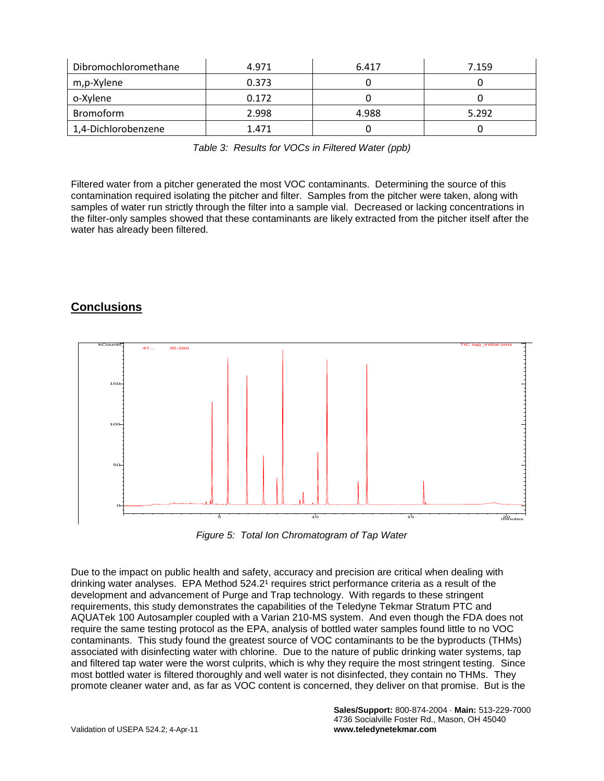| Dibromochloromethane | 4.971 | 6.417 | 7.159 |
|----------------------|-------|-------|-------|
| m,p-Xylene           | 0.373 |       |       |
| o-Xylene             | 0.172 |       |       |
| <b>Bromoform</b>     | 2.998 | 4.988 | 5.292 |
| 1,4-Dichlorobenzene  | 1.471 |       |       |

*Table 3: Results for VOCs in Filtered Water (ppb)*

Filtered water from a pitcher generated the most VOC contaminants. Determining the source of this contamination required isolating the pitcher and filter. Samples from the pitcher were taken, along with samples of water run strictly through the filter into a sample vial. Decreased or lacking concentrations in the filter-only samples showed that these contaminants are likely extracted from the pitcher itself after the water has already been filtered.

## **Conclusions**



*Figure 5: Total Ion Chromatogram of Tap Water*

Due to the impact on public health and safety, accuracy and precision are critical when dealing with drinking water analyses. EPA Method 524.2<sup>1</sup> requires strict performance criteria as a result of the development and advancement of Purge and Trap technology. With regards to these stringent requirements, this study demonstrates the capabilities of the Teledyne Tekmar Stratum PTC and AQUATek 100 Autosampler coupled with a Varian 210-MS system. And even though the FDA does not require the same testing protocol as the EPA, analysis of bottled water samples found little to no VOC contaminants. This study found the greatest source of VOC contaminants to be the byproducts (THMs) associated with disinfecting water with chlorine. Due to the nature of public drinking water systems, tap and filtered tap water were the worst culprits, which is why they require the most stringent testing. Since most bottled water is filtered thoroughly and well water is not disinfected, they contain no THMs. They promote cleaner water and, as far as VOC content is concerned, they deliver on that promise. But is the